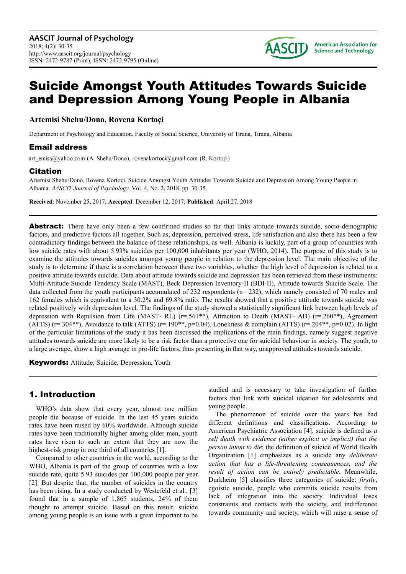

# Suicide Amongst Youth Attitudes Towards Suicide and Depression Among Young People in Albania

**Artemisi Shehu/Dono, Rovena Kortoçi** 

Department of Psychology and Education, Faculty of Social Science, University of Tirana, Tirana, Albania

#### Email address

art emisa@yahoo.com (A. Shehu/Dono), rovenakortoci@gmail.com (R. Kortoçi)

#### Citation

Artemisi Shehu/Dono, Rovena Kortoçi. Suicide Amongst Youth Attitudes Towards Suicide and Depression Among Young People in Albania. *AASCIT Journal of Psychology.* Vol. 4, No. 2, 2018, pp. 30-35.

**Received**: November 25, 2017; **Accepted**: December 12, 2017; **Published**: April 27, 2018

Abstract: There have only been a few confirmed studies so far that links attitude towards suicide, socio-demographic factors, and predictive factors all together. Such as, depression, perceived stress, life satisfaction and also there has been a few contradictory findings between the balance of these relationships, as well. Albania is luckily, part of a group of countries with low suicide rates with about 5.93% suicides per 100,000 inhabitants per year (WHO, 2014). The purpose of this study is to examine the attitudes towards suicides amongst young people in relation to the depression level. The main objective of the study is to determine if there is a correlation between these two variables, whether the high level of depression is related to a positive attitude towards suicide. Data about attitude towards suicide and depression has been retrieved from these instruments: Multi-Attitude Suicide Tendency Scale (MAST), Beck Depression Inventory-II (BDI-II), Attitude towards Suicide Scale. The data collected from the youth participants accumulated of 232 respondents (n= 232), which namely consisted of 70 males and 162 females which is equivalent to a 30.2% and 69.8% ratio. The results showed that a positive attitude towards suicide was related positively with depression level. The findings of the study showed a statistically significant link between high levels of depression with Repulsion from Life (MAST- RL) (r=.561\*\*), Attraction to Death (MAST- AD) (r=.260\*\*), Agreement (ATTS) ( $r=0.304**$ ), Avoidance to talk (ATTS) ( $r=190**$ ,  $p=0.04$ ), Loneliness & complain (ATTS) ( $r=204**$ ,  $p=0.02$ ). In light of the particular limitations of the study it has been discussed the implications of the main findings, namely suggest negative attitudes towards suicide are more likely to be a risk factor than a protective one for suicidal behaviour in society. The youth, to a large average, show a high average in pro-life factors, thus presenting in that way, unapproved attitudes towards suicide.

Keywords: Attitude, Suicide, Depression, Youth

## 1. Introduction

WHO's data show that every year, almost one million people die because of suicide. In the last 45 years suicide rates have been raised by 60% worldwide. Although suicide rates have been traditionally higher among older men, youth rates have risen to such an extent that they are now the highest-risk group in one third of all countries [1].

Compared to other countries in the world, according to the WHO, Albania is part of the group of countries with a low suicide rate, quite 5.93 suicides per 100,000 people per year [2]. But despite that, the number of suicides in the country has been rising. In a study conducted by Westefeld et al., [3] found that in a sample of 1,865 students, 24% of them thought to attempt suicide. Based on this result, suicide among young people is an issue with a great important to be

studied and is necessary to take investigation of further factors that link with suicidal ideation for adolescents and young people.

The phenomenon of suicide over the years has had different definitions and classifications. According to American Psychiatric Association [4], suicide is defined as *a self death with evidence (either explicit or implicit) that the person intent to die*; the definition of suicide of World Health Organization [1] emphasizes as a suicide any *deliberate action that has a life-threatening consequences, and the result of action can be entirely predictable.* Meanwhile, Durkheim [5] classifies three categories of suicide: *firstly*, egoistic suicide, people who commits suicide results from lack of integration into the society. Individual loses constraints and contacts with the society, and indifference towards community and society, which will raise a sense of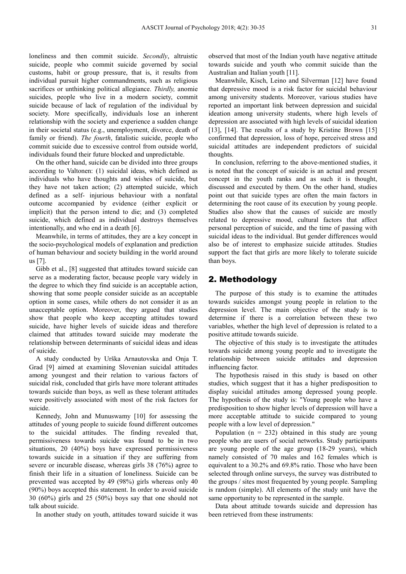loneliness and then commit suicide. *Secondly*, altruistic suicide, people who commit suicide governed by social customs, habit or group pressure, that is, it results from individual pursuit higher commandments, such as religious sacrifices or unthinking political allegiance. *Thirdly,* anomie suicides, people who live in a modern society, commit suicide because of lack of regulation of the individual by society. More specifically, individuals lose an inherent relationship with the society and experience a sudden change in their societal status (e.g., unemployment, divorce, death of family or friend). *The fourth*, fatalistic suicide, people who commit suicide due to excessive control from outside world, individuals found their future blocked and unpredictable.

On the other hand, suicide can be divided into three groups according to Valtonen: (1) suicidal ideas, which defined as individuals who have thoughts and wishes of suicide, but they have not taken action; (2) attempted suicide, which defined as a self- injurious behaviour with a nonfatal outcome accompanied by evidence (either explicit or implicit) that the person intend to die; and (3) completed suicide, which defined as individual destroys themselves intentionally, and who end in a death [6].

Meanwhile, in terms of attitudes, they are a key concept in the socio-psychological models of explanation and prediction of human behaviour and society building in the world around us [7].

Gibb et al., [8] suggested that attitudes toward suicide can serve as a moderating factor, because people vary widely in the degree to which they find suicide is an acceptable action, showing that some people consider suicide as an acceptable option in some cases, while others do not consider it as an unacceptable option. Moreover, they argued that studies show that people who keep accepting attitudes toward suicide, have higher levels of suicide ideas and therefore claimed that attitudes toward suicide may moderate the relationship between determinants of suicidal ideas and ideas of suicide.

A study conducted by Urška Arnautovska and Onja T. Grad [9] aimed at examining Slovenian suicidal attitudes among youngest and their relation to various factors of suicidal risk, concluded that girls have more tolerant attitudes towards suicide than boys, as well as these tolerant attitudes were positively associated with most of the risk factors for suicide.

Kennedy, John and Munuswamy [10] for assessing the attitudes of young people to suicide found different outcomes to the suicidal attitudes. The finding revealed that, permissiveness towards suicide was found to be in two situations, 20 (40%) boys have expressed permissiveness towards suicide in a situation if they are suffering from severe or incurable disease, whereas girls 38 (76%) agree to finish their life in a situation of loneliness. Suicide can be prevented was accepted by 49 (98%) girls whereas only 40 (90%) boys accepted this statement. In order to avoid suicide 30 (60%) girls and 25 (50%) boys say that one should not talk about suicide.

In another study on youth, attitudes toward suicide it was

observed that most of the Indian youth have negative attitude towards suicide and youth who commit suicide than the Australian and Italian youth [11].

Meanwhile, Kisch, Leino and Silverman [12] have found that depressive mood is a risk factor for suicidal behaviour among university students. Moreover, various studies have reported an important link between depression and suicidal ideation among university students, where high levels of depression are associated with high levels of suicidal ideation [13], [14]. The results of a study by Kristine Brown [15] confirmed that depression, loss of hope, perceived stress and suicidal attitudes are independent predictors of suicidal thoughts.

In conclusion, referring to the above-mentioned studies, it is noted that the concept of suicide is an actual and present concept in the youth ranks and as such it is thought, discussed and executed by them. On the other hand, studies point out that suicide types are often the main factors in determining the root cause of its execution by young people. Studies also show that the causes of suicide are mostly related to depressive mood, cultural factors that affect personal perception of suicide, and the time of passing with suicidal ideas to the individual. But gender differences would also be of interest to emphasize suicide attitudes. Studies support the fact that girls are more likely to tolerate suicide than boys.

### 2. Methodology

The purpose of this study is to examine the attitudes towards suicides amongst young people in relation to the depression level. The main objective of the study is to determine if there is a correlation between these two variables, whether the high level of depression is related to a positive attitude towards suicide.

The objective of this study is to investigate the attitudes towards suicide among young people and to investigate the relationship between suicide attitudes and depression influencing factor.

The hypothesis raised in this study is based on other studies, which suggest that it has a higher predisposition to display suicidal attitudes among depressed young people. The hypothesis of the study is: "Young people who have a predisposition to show higher levels of depression will have a more acceptable attitude to suicide compared to young people with a low level of depression."

Population  $(n = 232)$  obtained in this study are young people who are users of social networks. Study participants are young people of the age group (18-29 years), which namely consisted of 70 males and 162 females which is equivalent to a 30.2% and 69.8% ratio. Those who have been selected through online surveys, the survey was distributed to the groups / sites most frequented by young people. Sampling is random (simple). All elements of the study unit have the same opportunity to be represented in the sample.

Data about attitude towards suicide and depression has been retrieved from these instruments: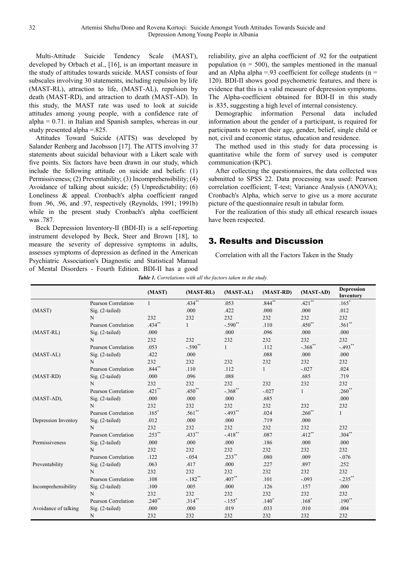Multi-Attitude Suicide Tendency Scale (MAST), developed by Orbach et al., [16], is an important measure in the study of attitudes towards suicide. MAST consists of four subscales involving 30 statements, including repulsion by life (MAST-RL), attraction to life, (MAST-AL), repulsion by death (MAST-RD), and attraction to death (MAST-AD). In this study, the MAST rate was used to look at suicide attitudes among young people, with a confidence rate of  $alpha = 0.71$ . in Italian and Spanish samples, whereas in our study presented alpha =.825.

Attitudes Toward Suicide (ATTS) was developed by Salander Renberg and Jacobsson [17]. The ATTS involving 37 statements about suicidal behaviour with a Likert scale with five points. Six factors have been drawn in our study, which include the following attitude on suicide and beliefs: (1) Permissiveness; (2) Preventability; (3) Incomprehensibility; (4) Avoidance of talking about suicide; (5) Unpredictability; (6) Loneliness & appeal. Cronbach's alpha coefficient ranged from .96, .96, and .97, respectively (Reynolds, 1991; 1991b) while in the present study Cronbach's alpha coefficient was .787.

Beck Depression Inventory-II (BDI-II) is a self-reporting instrument developed by Beck, Steer and Brown [18], to measure the severity of depressive symptoms in adults, assesses symptoms of depression as defined in the American Psychiatric Association's Diagnostic and Statistical Manual of Mental Disorders - Fourth Edition. BDI-II has a good

reliability, give an alpha coefficient of .92 for the outpatient population ( $n = 500$ ), the samples mentioned in the manual and an Alpha alpha =.93 coefficient for college students ( $n =$ 120). BDI-II shows good psychometric features, and there is evidence that this is a valid measure of depression symptoms. The Alpha-coefficient obtained for BDI-II in this study is .835, suggesting a high level of internal consistency.

Demographic information Personal data included information about the gender of a participant, is required for participants to report their age, gender, belief, single child or not, civil and economic status, education and residence.

The method used in this study for data processing is quantitative while the form of survey used is computer communication (KPC).

After collecting the questionnaires, the data collected was submitted to SPSS 22. Data processing was used: Pearson correlation coefficient; T-test; Variance Analysis (ANOVA); Cronbach's Alpha, which serve to give us a more accurate picture of the questionnaire result in tabular form.

For the realization of this study all ethical research issues have been respected.

# 3. Results and Discussion

Correlation with all the Factors Taken in the Study

| <b>Table 1.</b> Correlations with all the factors taken in the study. |  |  |
|-----------------------------------------------------------------------|--|--|
|                                                                       |  |  |

|                      |                     | (MAST)       | $(MAST-RL)$           | $(MAST-AL)$          | (MAST-RD)    | (MAST-AD)    | <b>Depression</b> |
|----------------------|---------------------|--------------|-----------------------|----------------------|--------------|--------------|-------------------|
|                      |                     |              |                       |                      |              |              | Inventory         |
| (MAST)               | Pearson Correlation | $\mathbf{1}$ | $.434**$              | .053                 | $.844***$    | $.421**$     | $.165*$           |
|                      | $Sig. (2-tailed)$   |              | .000                  | .422                 | .000         | .000         | .012              |
|                      | N                   | 232          | 232                   | 232                  | 232          | 232          | 232               |
|                      | Pearson Correlation | .434**       | $\mathbf{1}$          | $-.590**$            | .110         | $.450**$     | $.561**$          |
| $(MAST-RL)$          | $Sig. (2-tailed)$   | .000         |                       | .000                 | .096         | .000         | .000              |
|                      | N                   | 232          | 232                   | 232                  | 232          | 232          | 232               |
|                      | Pearson Correlation | .053         | $-.590$ <sup>**</sup> | $\mathbf{1}$         | .112         | $-.368$ **   | $-.493$ **        |
| $(MAST-AL)$          | $Sig. (2-tailed)$   | .422         | .000                  |                      | .088         | .000         | .000              |
|                      | N                   | 232          | 232                   | 232                  | 232          | 232          | 232               |
|                      | Pearson Correlation | $.844***$    | .110                  | .112                 | $\mathbf{1}$ | $-.027$      | .024              |
| (MAST-RD)            | $Sig. (2-tailed)$   | .000         | .096                  | .088                 |              | .685         | .719              |
|                      | N                   | 232          | 232                   | 232                  | 232          | 232          | 232               |
|                      | Pearson Correlation | $.421**$     | $.450**$              | $-.368**$            | $-.027$      | $\mathbf{1}$ | $.260**$          |
| $(MAST-AD)$ ,        | $Sig. (2-tailed)$   | .000         | .000                  | .000                 | .685         |              | .000              |
|                      | N                   | 232          | 232                   | 232                  | 232          | 232          | 232               |
|                      | Pearson Correlation | $.165*$      | $.561**$              | $-.493**$            | .024         | $.260^{**}$  | $\mathbf{1}$      |
| Depression Inventoy  | $Sig. (2-tailed)$   | .012         | .000                  | .000                 | .719         | .000         |                   |
|                      | N                   | 232          | 232                   | 232                  | 232          | 232          | 232               |
|                      | Pearson Correlation | $.253***$    | $.433***$             | $-.418$ **           | .087         | $.412**$     | $.304**$          |
| Permissiveness       | Sig. (2-tailed)     | .000         | .000                  | .000                 | .186         | .000         | .000              |
|                      | N                   | 232          | 232                   | 232                  | 232          | 232          | 232               |
|                      | Pearson Correlation | .122         | $-.054$               | $.233***$            | .080         | .009         | $-.076$           |
| Preventability       | $Sig. (2-tailed)$   | .063         | .417                  | .000                 | .227         | .897         | .252              |
|                      | N                   | 232          | 232                   | 232                  | 232          | 232          | 232               |
| Incomprehensibility  | Pearson Correlation | .108         | $-.182**$             | $.407**$             | .101         | $-.093$      | $-.235***$        |
|                      | $Sig. (2-tailed)$   | .100         | .005                  | .000                 | .126         | .157         | .000              |
|                      | N                   | 232          | 232                   | 232                  | 232          | 232          | 232               |
|                      | Pearson Correlation | $.240**$     | $.314**$              | $-.155$ <sup>*</sup> | $.140*$      | $.168*$      | $.190**$          |
| Avoidance of talking | $Sig. (2-tailed)$   | .000         | .000                  | .019                 | .033         | .010         | .004              |
|                      | N                   | 232          | 232                   | 232                  | 232          | 232          | 232               |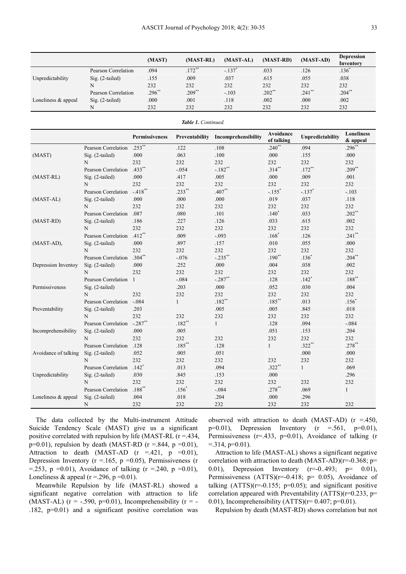|                        |                     | (MAST)    | (MAST-RL) | (MAST-AL) | (MAST-RD) | $(MAST-AD)$ | <b>Depression</b><br>Inventory |
|------------------------|---------------------|-----------|-----------|-----------|-----------|-------------|--------------------------------|
| Unpredictability       | Pearson Correlation | .094      | $.172***$ | $-137$    | .033      | .126        | $.136*$                        |
|                        | $Sig. (2-tailed)$   | .155      | .009      | .037      | .615      | .055        | .038                           |
|                        |                     | 232       | 232       | 232       | 232       | 232         | 232                            |
|                        | Pearson Correlation | $.296***$ | $.209**$  | $-.103$   | $.202**$  | $.241$ **   | $.204**$                       |
| Loneliness $\&$ appeal | $Sig. (2-tailed)$   | .000      | .001      | .118      | .002      | .000        | .002                           |
|                        |                     | 232       | 232       | 232       | 232       | 232         | 232                            |

| Table 1. Continued.  |                                        |                      |              |                                    |                         |                      |                               |  |
|----------------------|----------------------------------------|----------------------|--------------|------------------------------------|-------------------------|----------------------|-------------------------------|--|
|                      |                                        | Permissiveness       |              | Preventability Incomprehensibility | Avoidance<br>of talking | Unpredictability     | <b>Loneliness</b><br>& appeal |  |
| (MAST)               | Pearson Correlation                    | $.253$ **            | .122         | .108                               | $.240**$                | .094                 | $.296*$                       |  |
|                      | Sig. (2-tailed)                        | .000                 | .063         | .100                               | .000                    | .155                 | .000                          |  |
|                      | N                                      | 232                  | 232          | 232                                | 232                     | 232                  | 232                           |  |
|                      | Pearson Correlation                    | $.433$ <sup>**</sup> | $-.054$      | $-.182$ <sup>**</sup>              | $.314***$               | $.172**$             | $.209$ **                     |  |
| (MAST-RL)            | Sig. (2-tailed)                        | .000                 | .417         | .005                               | .000                    | .009                 | .001                          |  |
|                      | N                                      | 232                  | 232          | 232                                | 232                     | 232                  | 232                           |  |
|                      | Pearson Correlation -.418**            |                      | $.233**$     | $.407**$                           | $-.155$ <sup>*</sup>    | $-.137$ <sup>*</sup> | $-.103$                       |  |
| $(MAST-AL)$          | Sig. (2-tailed)                        | .000                 | .000         | .000                               | .019                    | .037                 | .118                          |  |
|                      | $\mathbf N$                            | 232                  | 232          | 232                                | 232                     | 232                  | 232                           |  |
|                      | Pearson Correlation                    | .087                 | .080         | .101                               | $.140*$                 | .033                 | $.202**$                      |  |
| (MAST-RD)            | Sig. (2-tailed)                        | .186                 | .227         | .126                               | .033                    | .615                 | .002                          |  |
|                      | N                                      | 232                  | 232          | 232                                | 232                     | 232                  | 232                           |  |
|                      | Pearson Correlation .412 <sup>**</sup> |                      | .009         | $-.093$                            | $.168*$                 | .126                 | $.241$ **                     |  |
| (MAST-AD),           | Sig. (2-tailed)                        | $.000\,$             | .897         | .157                               | .010                    | .055                 | .000                          |  |
|                      | N                                      | 232                  | 232          | 232                                | 232                     | 232                  | 232                           |  |
|                      | Pearson Correlation .304**             |                      | $-.076$      | $-.235$ **                         | $.190**$                | $.136$ <sup>*</sup>  | $.204$ **                     |  |
| Depression Inventoy  | Sig. (2-tailed)                        | .000                 | .252         | .000                               | .004                    | .038                 | .002                          |  |
|                      | N                                      | 232                  | 232          | 232                                | 232                     | 232                  | 232                           |  |
|                      | Pearson Correlation 1                  |                      | $-.084$      | $-.287$ **                         | .128                    | $.142*$              | $.188***$                     |  |
| Permissiveness       | Sig. (2-tailed)                        |                      | .203         | .000                               | .052                    | .030                 | .004                          |  |
|                      | N                                      | 232                  | 232          | 232                                | 232                     | 232                  | 232                           |  |
|                      | Pearson Correlation -.084              |                      | $\mathbf{1}$ | $.182**$                           | $.185***$               | .013                 | $.156*$                       |  |
| Preventability       | $Sig. (2-tailed)$                      | .203                 |              | .005                               | .005                    | .845                 | .018                          |  |
|                      | N                                      | 232                  | 232          | 232                                | 232                     | 232                  | 232                           |  |
| Incomprehensibility  | Pearson Correlation -.287**            |                      | $.182**$     | $\mathbf{1}$                       | .128                    | .094                 | $-.084$                       |  |
|                      | Sig. (2-tailed)                        | .000                 | .005         |                                    | .051                    | .153                 | .204                          |  |
|                      | N                                      | 232                  | 232          | 232                                | 232                     | 232                  | 232                           |  |
| Avoidance of talking | Pearson Correlation                    | .128                 | $.185***$    | .128                               | $\mathbf{1}$            | $.322**$             | $.278$ **                     |  |
|                      | Sig. (2-tailed)                        | .052                 | .005         | .051                               |                         | .000                 | .000                          |  |
|                      | N                                      | 232                  | 232          | 232                                | 232                     | 232                  | 232                           |  |
| Unpredictability     | Pearson Correlation .142 <sup>*</sup>  |                      | .013         | .094                               | $.322**$                | $\mathbf{1}$         | .069                          |  |
|                      | Sig. (2-tailed)                        | .030                 | .845         | .153                               | .000                    |                      | .296                          |  |
|                      | N                                      | 232                  | 232          | 232                                | 232                     | 232                  | 232                           |  |
|                      | Pearson Correlation .188**             |                      | $.156*$      | $-.084$                            | $.278**$                | .069                 | $\mathbf{1}$                  |  |
| Loneliness & appeal  | Sig. (2-tailed)                        | .004                 | .018         | .204                               | .000                    | .296                 |                               |  |
|                      | N                                      | 232                  | 232          | 232                                | 232                     | 232                  | 232                           |  |

The data collected by the Multi-instrument Attitude Suicide Tendency Scale (MAST) give us a significant positive correlated with repulsion by life (MAST-RL  $(r = .434, )$ )  $p=0.01$ ), repulsion by death (MAST-RD ( $r = .844$ ,  $p = 0.01$ ), Attraction to death (MAST-AD ( $r = .421$ ,  $p = 0.01$ ), Depression Inventory ( $r = 165$ ,  $p = 0.05$ ), Permissiveness (r =.253, p =0.01), Avoidance of talking  $(r = .240, p = 0.01)$ , Loneliness & appeal ( $r = 296$ ,  $p = 0.01$ ).

Meanwhile Repulsion by life (MAST-RL) showed a significant negative correlation with attraction to life (MAST-AL) ( $r = -.590, p=0.01$ ), Incomprehensibility ( $r = -$ .182, p=0.01) and a significant positive correlation was observed with attraction to death (MAST-AD) ( $r = .450$ ,  $p=0.01$ ), Depression Inventory (r =.561,  $p=0.01$ ), Permissiveness ( $r = .433$ ,  $p = 0.01$ ), Avoidance of talking (r  $=$ .314, p=0.01).

Attraction to life (MAST-AL) shows a significant negative correlation with attraction to death  $(MAST-AD)(r=-0.368; p=$ 0.01), Depression Inventory (r=-0..493; p= 0.01), Permissiveness (ATTS)(r=-0.418; p= 0.05), Avoidance of talking  $(ATTS)(r=-0.155; p=0.05)$ ; and significant positive correlation appeared with Preventability  $(ATTS)(r=0.233, p=$ 0.01), Incomprehensibility (ATTS)( $r= 0.407$ ;  $p=0.01$ ).

Repulsion by death (MAST-RD) shows correlation but not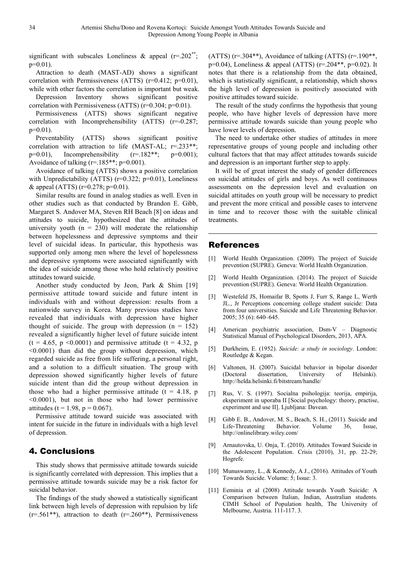significant with subscales Loneliness & appeal  $(r=.202^{**})$ ;  $p=0.01$ ).

Attraction to death (MAST-AD) shows a significant correlation with Permissiveness (ATTS)  $(r=0.412; p=0.01)$ . while with other factors the correlation is important but weak.

Depression Inventory shows significant positive correlation with Permissiveness (ATTS) (r=0.304; p=0.01).

Permissiveness (ATTS) shows significant negative correlation with Incomprehensibility (ATTS) (r=-0.287; p=0.01).

Preventability (ATTS) shows significant positive correlation with attraction to life (MAST-AL; r=.233\*\*; p=0.01). Incomprehensibility  $(r=182**; p=0.001);$ Avoidance of talking  $(r=185**; p=0.001)$ .

Avoidance of talking (ATTS) shows a positive correlation with Unpredictability (ATTS)  $(r=0.322; p=0.01)$ , Loneliness & appeal (ATTS) (r=0.278; p=0.01).

Similar results are found in analog studies as well. Even in other studies such as that conducted by Brandon E. Gibb, Margaret S. Andover MA, Steven RH Beach [8] on ideas and attitudes to suicide, hypothesized that the attitudes of university youth  $(n = 230)$  will moderate the relationship between hopelessness and depressive symptoms and their level of suicidal ideas. In particular, this hypothesis was supported only among men where the level of hopelessness and depressive symptoms were associated significantly with the idea of suicide among those who hold relatively positive attitudes toward suicide.

Another study conducted by Jeon, Park & Shim [19] permissive attitude toward suicide and future intent in individuals with and without depression: results from a nationwide survey in Korea. Many previous studies have revealed that individuals with depression have higher thought of suicide. The group with depression  $(n = 152)$ revealed a significantly higher level of future suicide intent  $(t = 4.65, p \le 0.0001)$  and permissive attitude  $(t = 4.32, p$ <0.0001) than did the group without depression, which regarded suicide as free from life suffering, a personal right, and a solution to a difficult situation. The group with depression showed significantly higher levels of future suicide intent than did the group without depression in those who had a higher permissive attitude  $(t = 4.18, p$ <0.0001), but not in those who had lower permissive attitudes (t = 1.98, p = 0.067).

Permissive attitude toward suicide was associated with intent for suicide in the future in individuals with a high level of depression.

### 4. Conclusions

This study shows that permissive attitude towards suicide is significantly correlated with depression. This implies that a permissive attitude towards suicide may be a risk factor for suicidal behavior.

The findings of the study showed a statistically significant link between high levels of depression with repulsion by life  $(r=.561**)$ , attraction to death  $(r=.260**)$ , Permissiveness

(ATTS) ( $r=0.304**$ ), Avoidance of talking (ATTS) ( $r=190**$ ,  $p=0.04$ ), Loneliness & appeal (ATTS) ( $r=.204**$ ,  $p=0.02$ ). It notes that there is a relationship from the data obtained, which is statistically significant, a relationship, which shows the high level of depression is positively associated with positive attitudes toward suicide.

The result of the study confirms the hypothesis that young people, who have higher levels of depression have more permissive attitude towards suicide than young people who have lower levels of depression.

The need to undertake other studies of attitudes in more representative groups of young people and including other cultural factors that that may affect attitudes towards suicide and depression is an important further step to apply.

It will be of great interest the study of gender differences on suicidal attitudes of girls and boys. As well continuous assessments on the depression level and evaluation on suicidal attitudes on youth group will be necessary to predict and prevent the more critical and possible cases to intervene in time and to recover those with the suitable clinical treatments.

#### References

- [1] World Health Organization. (2009). The project of Suicide prevention (SUPRE). Geneva: World Health Organization.
- [2] World Health Organization. (2014). The project of Suicide prevention (SUPRE). Geneva: World Health Organization.
- [3] Westefeld JS, Homaifar B, Spotts J, Furr S, Range L, Werth JL., Jr Perceptions concerning college student suicide: Data from four universities. Suicide and Life Threatening Behavior. 2005; 35 (6): 640–645.
- [4] American psychiatric association, Dsm-V Diagnostic Statistical Manual of Psychological Disorders, 2013, APA.
- [5] Durkheim, E. (1952). *Suicide: a study in sociology*. London: Routledge & Kegan.
- [6] Valtonen, H. (2007). Suicidal behavior in bipolar disorder (Doctoral dissertation, University of Helsinki). http://helda.helsinki.fi/bitstream/handle/
- [7] Rus, V. S. (1997). Socialna psihologija: teorija, empirija, eksperiment in uporaba II [Social psychology: theory, practise, experiment and use II]. Ljubljana: Davean.
- [8] Gibb E. B., Andover, M. S., Beach, S. H., (2011). Suicide and Life-Threatening Behavior. Volume 36, Issue, http://onlinelibrary.wiley.com/
- [9] Arnautovska, U. Onja, T. (2010). Attitudes Toward Suicide in the Adolescent Population. Crisis (2010), 31, pp. 22-29; Hogrefe.
- [10] Munuswamy, L., & Kennedy, A J., (2016). Attitudes of Youth Towards Suicide. Volume: 5; Issue: 3.
- [11] Eeminia et al (2008) Attitude towards Youth Suicide: A Comparison between Italian, Indian, Australian students. CIMH School of Population health, The University of Melbourne, Austria. 111-117. 3.